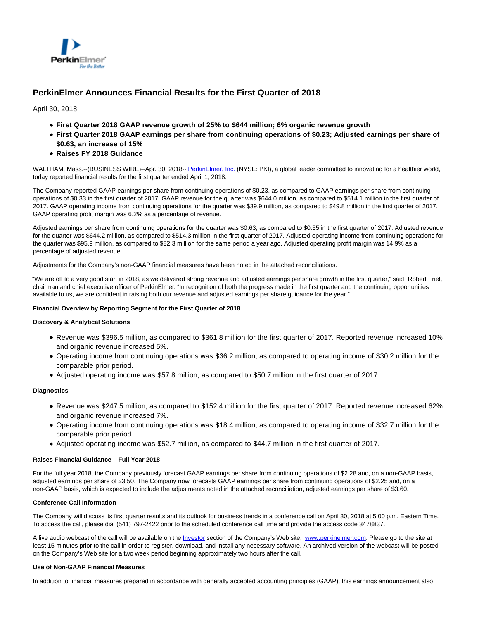

# **PerkinElmer Announces Financial Results for the First Quarter of 2018**

April 30, 2018

- **First Quarter 2018 GAAP revenue growth of 25% to \$644 million; 6% organic revenue growth**
- **First Quarter 2018 GAAP earnings per share from continuing operations of \$0.23; Adjusted earnings per share of \$0.63, an increase of 15%**
- **Raises FY 2018 Guidance**

WALTHAM, Mass.--(BUSINESS WIRE)--Apr. 30, 2018-[- PerkinElmer, Inc. \(](http://cts.businesswire.com/ct/CT?id=smartlink&url=http%3A%2F%2Fwww.perkinelmer.com&esheet=51797798&newsitemid=20180430006366&lan=en-US&anchor=PerkinElmer%2C+Inc.&index=1&md5=a116fc964f8017291e47e60b3a4aa9e3)NYSE: PKI), a global leader committed to innovating for a healthier world, today reported financial results for the first quarter ended April 1, 2018.

The Company reported GAAP earnings per share from continuing operations of \$0.23, as compared to GAAP earnings per share from continuing operations of \$0.33 in the first quarter of 2017. GAAP revenue for the quarter was \$644.0 million, as compared to \$514.1 million in the first quarter of 2017. GAAP operating income from continuing operations for the quarter was \$39.9 million, as compared to \$49.8 million in the first quarter of 2017. GAAP operating profit margin was 6.2% as a percentage of revenue.

Adjusted earnings per share from continuing operations for the quarter was \$0.63, as compared to \$0.55 in the first quarter of 2017. Adjusted revenue for the quarter was \$644.2 million, as compared to \$514.3 million in the first quarter of 2017. Adjusted operating income from continuing operations for the quarter was \$95.9 million, as compared to \$82.3 million for the same period a year ago. Adjusted operating profit margin was 14.9% as a percentage of adjusted revenue.

Adjustments for the Company's non-GAAP financial measures have been noted in the attached reconciliations.

"We are off to a very good start in 2018, as we delivered strong revenue and adjusted earnings per share growth in the first quarter," said Robert Friel, chairman and chief executive officer of PerkinElmer. "In recognition of both the progress made in the first quarter and the continuing opportunities available to us, we are confident in raising both our revenue and adjusted earnings per share guidance for the year."

## **Financial Overview by Reporting Segment for the First Quarter of 2018**

## **Discovery & Analytical Solutions**

- Revenue was \$396.5 million, as compared to \$361.8 million for the first quarter of 2017. Reported revenue increased 10% and organic revenue increased 5%.
- Operating income from continuing operations was \$36.2 million, as compared to operating income of \$30.2 million for the comparable prior period.
- Adjusted operating income was \$57.8 million, as compared to \$50.7 million in the first quarter of 2017.

## **Diagnostics**

- Revenue was \$247.5 million, as compared to \$152.4 million for the first quarter of 2017. Reported revenue increased 62% and organic revenue increased 7%.
- Operating income from continuing operations was \$18.4 million, as compared to operating income of \$32.7 million for the comparable prior period.
- Adjusted operating income was \$52.7 million, as compared to \$44.7 million in the first quarter of 2017.

## **Raises Financial Guidance – Full Year 2018**

For the full year 2018, the Company previously forecast GAAP earnings per share from continuing operations of \$2.28 and, on a non-GAAP basis, adjusted earnings per share of \$3.50. The Company now forecasts GAAP earnings per share from continuing operations of \$2.25 and, on a non-GAAP basis, which is expected to include the adjustments noted in the attached reconciliation, adjusted earnings per share of \$3.60.

## **Conference Call Information**

The Company will discuss its first quarter results and its outlook for business trends in a conference call on April 30, 2018 at 5:00 p.m. Eastern Time. To access the call, please dial (541) 797-2422 prior to the scheduled conference call time and provide the access code 3478837.

A live audio webcast of the call will be available on the [Investor s](http://cts.businesswire.com/ct/CT?id=smartlink&url=http%3A%2F%2Fwww.perkinelmer.com%2Fcorporate%2Finvestors%2F&esheet=51797798&newsitemid=20180430006366&lan=en-US&anchor=Investor&index=2&md5=6d1767e744e577f8e75855d6f74fae41)ection of the Company's Web site, [www.perkinelmer.com.](http://cts.businesswire.com/ct/CT?id=smartlink&url=http%3A%2F%2Fwww.perkinelmer.com&esheet=51797798&newsitemid=20180430006366&lan=en-US&anchor=www.perkinelmer.com&index=3&md5=21b46fcbfa8ab92050627441fac13943) Please go to the site at least 15 minutes prior to the call in order to register, download, and install any necessary software. An archived version of the webcast will be posted on the Company's Web site for a two week period beginning approximately two hours after the call.

#### **Use of Non-GAAP Financial Measures**

In addition to financial measures prepared in accordance with generally accepted accounting principles (GAAP), this earnings announcement also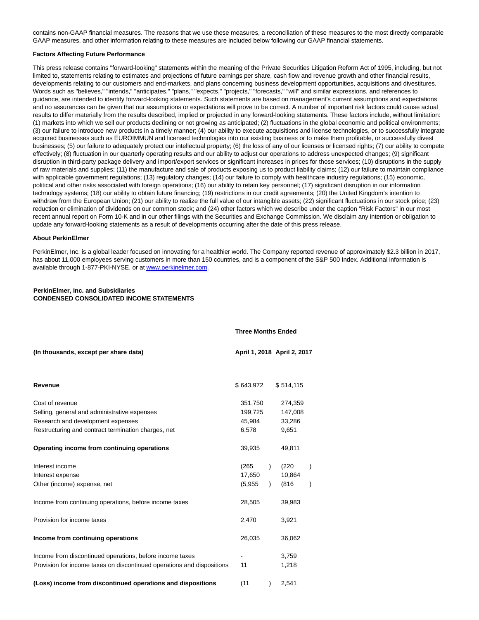contains non-GAAP financial measures. The reasons that we use these measures, a reconciliation of these measures to the most directly comparable GAAP measures, and other information relating to these measures are included below following our GAAP financial statements.

#### **Factors Affecting Future Performance**

This press release contains "forward-looking" statements within the meaning of the Private Securities Litigation Reform Act of 1995, including, but not limited to, statements relating to estimates and projections of future earnings per share, cash flow and revenue growth and other financial results, developments relating to our customers and end-markets, and plans concerning business development opportunities, acquisitions and divestitures. Words such as "believes," "intends," "anticipates," "plans," "expects," "projects," "forecasts," "will" and similar expressions, and references to guidance, are intended to identify forward-looking statements. Such statements are based on management's current assumptions and expectations and no assurances can be given that our assumptions or expectations will prove to be correct. A number of important risk factors could cause actual results to differ materially from the results described, implied or projected in any forward-looking statements. These factors include, without limitation: (1) markets into which we sell our products declining or not growing as anticipated; (2) fluctuations in the global economic and political environments; (3) our failure to introduce new products in a timely manner; (4) our ability to execute acquisitions and license technologies, or to successfully integrate acquired businesses such as EUROIMMUN and licensed technologies into our existing business or to make them profitable, or successfully divest businesses; (5) our failure to adequately protect our intellectual property; (6) the loss of any of our licenses or licensed rights; (7) our ability to compete effectively; (8) fluctuation in our quarterly operating results and our ability to adjust our operations to address unexpected changes; (9) significant disruption in third-party package delivery and import/export services or significant increases in prices for those services; (10) disruptions in the supply of raw materials and supplies; (11) the manufacture and sale of products exposing us to product liability claims; (12) our failure to maintain compliance with applicable government regulations; (13) regulatory changes; (14) our failure to comply with healthcare industry regulations; (15) economic, political and other risks associated with foreign operations; (16) our ability to retain key personnel; (17) significant disruption in our information technology systems; (18) our ability to obtain future financing; (19) restrictions in our credit agreements; (20) the United Kingdom's intention to withdraw from the European Union; (21) our ability to realize the full value of our intangible assets; (22) significant fluctuations in our stock price; (23) reduction or elimination of dividends on our common stock; and (24) other factors which we describe under the caption "Risk Factors" in our most recent annual report on Form 10-K and in our other filings with the Securities and Exchange Commission. We disclaim any intention or obligation to update any forward-looking statements as a result of developments occurring after the date of this press release.

#### **About PerkinElmer**

PerkinElmer, Inc. is a global leader focused on innovating for a healthier world. The Company reported revenue of approximately \$2.3 billion in 2017, has about 11,000 employees serving customers in more than 150 countries, and is a component of the S&P 500 Index. Additional information is available through 1-877-PKI-NYSE, or a[t www.perkinelmer.com.](http://cts.businesswire.com/ct/CT?id=smartlink&url=http%3A%2F%2Fwww.perkinelmer.com&esheet=51797798&newsitemid=20180430006366&lan=en-US&anchor=www.perkinelmer.com&index=4&md5=2060c5b9ebcc8c432da3407ac3a263d4)

#### **PerkinElmer, Inc. and Subsidiaries CONDENSED CONSOLIDATED INCOME STATEMENTS**

|                                                                        | <b>Three Months Ended</b> |                             |               |  |  |  |  |
|------------------------------------------------------------------------|---------------------------|-----------------------------|---------------|--|--|--|--|
| (In thousands, except per share data)                                  |                           | April 1, 2018 April 2, 2017 |               |  |  |  |  |
| Revenue                                                                | \$643,972                 | \$514,115                   |               |  |  |  |  |
| Cost of revenue                                                        | 351,750                   | 274,359                     |               |  |  |  |  |
| Selling, general and administrative expenses                           | 199,725                   | 147,008                     |               |  |  |  |  |
| Research and development expenses                                      | 45,984                    | 33,286                      |               |  |  |  |  |
| Restructuring and contract termination charges, net                    | 6,578                     | 9,651                       |               |  |  |  |  |
| Operating income from continuing operations                            | 39,935                    | 49,811                      |               |  |  |  |  |
| Interest income                                                        | (265)                     | (220)                       | $\mathcal{E}$ |  |  |  |  |
| Interest expense                                                       | 17,650                    | 10,864                      |               |  |  |  |  |
| Other (income) expense, net                                            | (5,955)                   | (816)                       |               |  |  |  |  |
| Income from continuing operations, before income taxes                 | 28,505                    | 39,983                      |               |  |  |  |  |
| Provision for income taxes                                             | 2,470                     | 3,921                       |               |  |  |  |  |
| Income from continuing operations                                      | 26,035                    | 36,062                      |               |  |  |  |  |
| Income from discontinued operations, before income taxes               |                           | 3,759                       |               |  |  |  |  |
| Provision for income taxes on discontinued operations and dispositions | 11                        | 1,218                       |               |  |  |  |  |
| (Loss) income from discontinued operations and dispositions            | (11)                      | 2,541                       |               |  |  |  |  |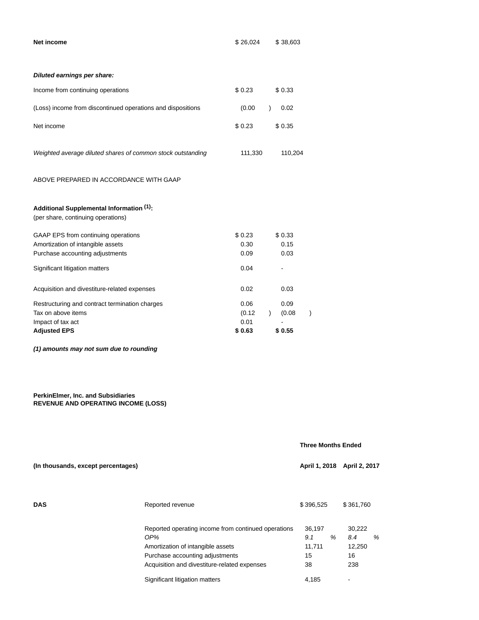| <b>Net income</b>                                                                                                | \$26,024                         | \$38,603                               |
|------------------------------------------------------------------------------------------------------------------|----------------------------------|----------------------------------------|
|                                                                                                                  |                                  |                                        |
| Diluted earnings per share:                                                                                      |                                  |                                        |
| Income from continuing operations                                                                                | \$0.23                           | \$0.33                                 |
| (Loss) income from discontinued operations and dispositions                                                      | (0.00)                           | 0.02<br>$\lambda$                      |
| Net income                                                                                                       | \$0.23                           | \$0.35                                 |
| Weighted average diluted shares of common stock outstanding                                                      | 111,330                          | 110,204                                |
| ABOVE PREPARED IN ACCORDANCE WITH GAAP                                                                           |                                  |                                        |
| Additional Supplemental Information (1):<br>(per share, continuing operations)                                   |                                  |                                        |
| GAAP EPS from continuing operations<br>Amortization of intangible assets<br>Purchase accounting adjustments      | \$0.23<br>0.30<br>0.09           | \$0.33<br>0.15<br>0.03                 |
| Significant litigation matters                                                                                   | 0.04                             |                                        |
| Acquisition and divestiture-related expenses                                                                     | 0.02                             | 0.03                                   |
| Restructuring and contract termination charges<br>Tax on above items<br>Impact of tax act<br><b>Adjusted EPS</b> | 0.06<br>(0.12)<br>0.01<br>\$0.63 | 0.09<br>(0.08)<br>$\lambda$<br>\$ 0.55 |

**(1) amounts may not sum due to rounding**

## **PerkinElmer, Inc. and Subsidiaries REVENUE AND OPERATING INCOME (LOSS)**

#### **Three Months Ended**

| (In thousands, except percentages) |                                                                                                                                                                                    | April 1, 2018 April 2, 2017         |   |                                      |   |
|------------------------------------|------------------------------------------------------------------------------------------------------------------------------------------------------------------------------------|-------------------------------------|---|--------------------------------------|---|
| <b>DAS</b>                         | Reported revenue                                                                                                                                                                   | \$396,525                           |   | \$361,760                            |   |
|                                    | Reported operating income from continued operations<br>OP%<br>Amortization of intangible assets<br>Purchase accounting adjustments<br>Acquisition and divestiture-related expenses | 36,197<br>9.1<br>11,711<br>15<br>38 | % | 30,222<br>8.4<br>12,250<br>16<br>238 | % |
|                                    | Significant litigation matters                                                                                                                                                     | 4,185                               |   |                                      |   |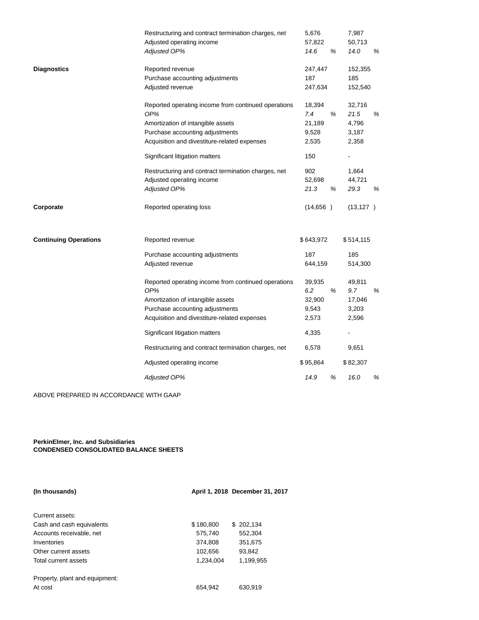|                              | Restructuring and contract termination charges, net        | 5,676         |   | 7,987          |      |
|------------------------------|------------------------------------------------------------|---------------|---|----------------|------|
|                              | Adjusted operating income                                  | 57,822        |   | 50,713         |      |
|                              | Adjusted OP%                                               | 14.6          | % | 14.0           | %    |
| <b>Diagnostics</b>           | Reported revenue                                           | 247,447       |   | 152,355        |      |
|                              | Purchase accounting adjustments                            | 187           |   | 185            |      |
|                              | Adjusted revenue                                           | 247,634       |   | 152,540        |      |
|                              | Reported operating income from continued operations<br>OP% | 18,394<br>7.4 | % | 32,716<br>21.5 | %    |
|                              | Amortization of intangible assets                          | 21,189        |   | 4,796          |      |
|                              | Purchase accounting adjustments                            | 9,528         |   | 3,187          |      |
|                              | Acquisition and divestiture-related expenses               | 2,535         |   | 2,358          |      |
|                              | Significant litigation matters                             | 150           |   | $\blacksquare$ |      |
|                              | Restructuring and contract termination charges, net        | 902           |   | 1,664          |      |
|                              | Adjusted operating income                                  | 52,698        |   | 44,721         |      |
|                              | Adjusted OP%                                               | 21.3          | % | 29.3           | $\%$ |
| Corporate                    | Reported operating loss                                    | (14,656)      |   | (13, 127)      |      |
| <b>Continuing Operations</b> | Reported revenue                                           | \$643,972     |   | \$514,115      |      |
|                              | Purchase accounting adjustments                            | 187           |   | 185            |      |
|                              | Adjusted revenue                                           | 644,159       |   | 514,300        |      |
|                              | Reported operating income from continued operations<br>OP% | 39,935<br>6.2 | % | 49,811<br>9.7  | %    |
|                              | Amortization of intangible assets                          | 32,900        |   | 17,046         |      |
|                              | Purchase accounting adjustments                            | 9,543         |   | 3,203          |      |
|                              | Acquisition and divestiture-related expenses               | 2,573         |   | 2,596          |      |
|                              | Significant litigation matters                             | 4,335         |   |                |      |
|                              | Restructuring and contract termination charges, net        | 6,578         |   | 9,651          |      |
|                              | Adjusted operating income                                  | \$95,864      |   | \$82,307       |      |
|                              | Adjusted OP%                                               | 14.9          | % | 16.0           | %    |

ABOVE PREPARED IN ACCORDANCE WITH GAAP

## **PerkinElmer, Inc. and Subsidiaries CONDENSED CONSOLIDATED BALANCE SHEETS**

| (In thousands)                 |           | April 1, 2018 December 31, 2017 |
|--------------------------------|-----------|---------------------------------|
|                                |           |                                 |
| Current assets:                |           |                                 |
| Cash and cash equivalents      | \$180.800 | \$202.134                       |
| Accounts receivable, net       | 575.740   | 552,304                         |
| Inventories                    | 374.808   | 351,675                         |
| Other current assets           | 102,656   | 93.842                          |
| Total current assets           | 1.234.004 | 1,199,955                       |
| Property, plant and equipment: |           |                                 |
| At cost                        | 654.942   | 630,919                         |
|                                |           |                                 |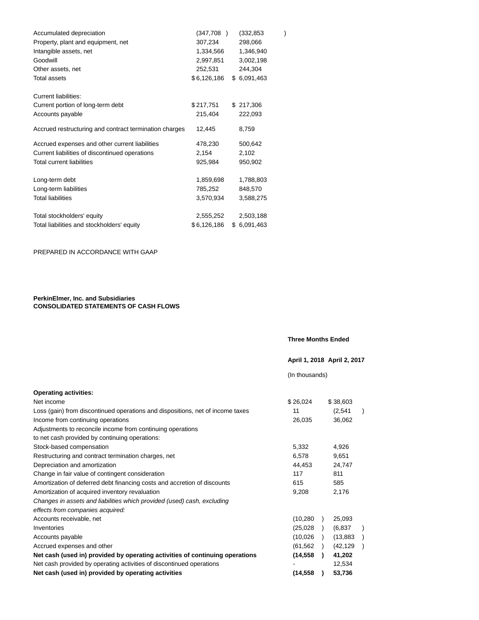| Accumulated depreciation                               | (347,708)   |     | (332, 853)  |  |
|--------------------------------------------------------|-------------|-----|-------------|--|
| Property, plant and equipment, net                     | 307,234     |     | 298,066     |  |
| Intangible assets, net                                 | 1,334,566   |     | 1,346,940   |  |
| Goodwill                                               | 2,997,851   |     | 3,002,198   |  |
| Other assets, net                                      | 252,531     |     | 244,304     |  |
| Total assets                                           | \$6,126,186 |     | \$6,091,463 |  |
| <b>Current liabilities:</b>                            |             |     |             |  |
| Current portion of long-term debt                      | \$217,751   |     | \$217,306   |  |
| Accounts payable                                       | 215,404     |     | 222,093     |  |
| Accrued restructuring and contract termination charges | 12,445      |     | 8,759       |  |
| Accrued expenses and other current liabilities         | 478,230     |     | 500,642     |  |
| Current liabilities of discontinued operations         | 2,154       |     | 2,102       |  |
| <b>Total current liabilities</b>                       | 925,984     |     | 950,902     |  |
| Long-term debt                                         | 1,859,698   |     | 1,788,803   |  |
| Long-term liabilities                                  | 785,252     |     | 848,570     |  |
| <b>Total liabilities</b>                               | 3,570,934   |     | 3,588,275   |  |
| Total stockholders' equity                             | 2,555,252   |     | 2,503,188   |  |
| Total liabilities and stockholders' equity             | \$6,126,186 | \$. | 6,091,463   |  |

## PREPARED IN ACCORDANCE WITH GAAP

## **PerkinElmer, Inc. and Subsidiaries CONSOLIDATED STATEMENTS OF CASH FLOWS**

## **Three Months Ended**

|                                                                                | April 1, 2018 April 2, 2017 |           |               |
|--------------------------------------------------------------------------------|-----------------------------|-----------|---------------|
|                                                                                | (In thousands)              |           |               |
| <b>Operating activities:</b>                                                   |                             |           |               |
| Net income                                                                     | \$26,024                    | \$38,603  |               |
| Loss (gain) from discontinued operations and dispositions, net of income taxes | 11                          | (2,541)   | $\lambda$     |
| Income from continuing operations                                              | 26,035                      | 36,062    |               |
| Adjustments to reconcile income from continuing operations                     |                             |           |               |
| to net cash provided by continuing operations:                                 |                             |           |               |
| Stock-based compensation                                                       | 5,332                       | 4,926     |               |
| Restructuring and contract termination charges, net                            | 6,578                       | 9,651     |               |
| Depreciation and amortization                                                  | 44.453                      | 24,747    |               |
| Change in fair value of contingent consideration                               | 117                         | 811       |               |
| Amortization of deferred debt financing costs and accretion of discounts       | 615                         | 585       |               |
| Amortization of acquired inventory revaluation                                 | 9,208                       | 2,176     |               |
| Changes in assets and liabilities which provided (used) cash, excluding        |                             |           |               |
| effects from companies acquired:                                               |                             |           |               |
| Accounts receivable, net                                                       | (10, 280)                   | 25,093    |               |
| Inventories                                                                    | (25,028)                    | (6, 837)  |               |
| Accounts payable                                                               | (10,026)                    | (13, 883) | $\rightarrow$ |
| Accrued expenses and other                                                     | (61, 562)                   | (42, 129) | $\lambda$     |
| Net cash (used in) provided by operating activities of continuing operations   | (14, 558)                   | 41,202    |               |
| Net cash provided by operating activities of discontinued operations           |                             | 12,534    |               |
| Net cash (used in) provided by operating activities                            | (14, 558)                   | 53,736    |               |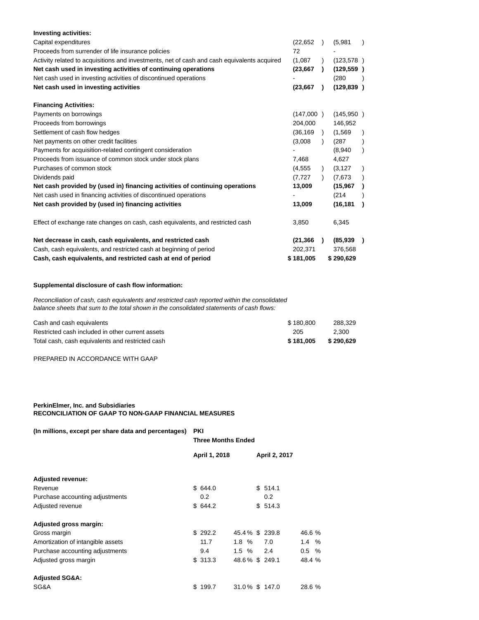| <b>Investing activities:</b>                                                                |           |               |            |              |
|---------------------------------------------------------------------------------------------|-----------|---------------|------------|--------------|
| Capital expenditures                                                                        | (22, 652) |               | (5,981)    | $\lambda$    |
| Proceeds from surrender of life insurance policies                                          | 72        |               |            |              |
| Activity related to acquisitions and investments, net of cash and cash equivalents acquired | (1,087)   |               | (123, 578) |              |
| Net cash used in investing activities of continuing operations                              | (23, 667) | $\lambda$     | (129, 559) |              |
| Net cash used in investing activities of discontinued operations                            |           |               | (280)      |              |
| Net cash used in investing activities                                                       | (23, 667) |               | (129, 839) |              |
| <b>Financing Activities:</b>                                                                |           |               |            |              |
| Payments on borrowings                                                                      | (147,000) |               | (145,950)  |              |
| Proceeds from borrowings                                                                    | 204,000   |               | 146,952    |              |
| Settlement of cash flow hedges                                                              | (36, 169) | $\rightarrow$ | (1,569)    | $\lambda$    |
| Net payments on other credit facilities                                                     | (3,008)   |               | (287)      | $\lambda$    |
| Payments for acquisition-related contingent consideration                                   |           |               | (8,940)    | $\lambda$    |
| Proceeds from issuance of common stock under stock plans                                    | 7,468     |               | 4,627      |              |
| Purchases of common stock                                                                   | (4.555)   | $\lambda$     | (3, 127)   |              |
| Dividends paid                                                                              | (7, 727)  | $\lambda$     | (7,673)    | $\lambda$    |
| Net cash provided by (used in) financing activities of continuing operations                | 13,009    |               | (15.967)   | $\mathbf{r}$ |
| Net cash used in financing activities of discontinued operations                            |           |               | (214)      |              |
| Net cash provided by (used in) financing activities                                         | 13,009    |               | (16, 181)  | $\lambda$    |
| Effect of exchange rate changes on cash, cash equivalents, and restricted cash              | 3,850     |               | 6,345      |              |
| Net decrease in cash, cash equivalents, and restricted cash                                 | (21, 366) |               | (85, 939)  | $\lambda$    |
| Cash, cash equivalents, and restricted cash at beginning of period                          | 202,371   |               | 376,568    |              |
| Cash, cash equivalents, and restricted cash at end of period                                | \$181,005 |               | \$290,629  |              |

## **Supplemental disclosure of cash flow information:**

Reconciliation of cash, cash equivalents and restricted cash reported within the consolidated balance sheets that sum to the total shown in the consolidated statements of cash flows:

| Cash and cash equivalents                        | \$180.800 | 288,329   |
|--------------------------------------------------|-----------|-----------|
| Restricted cash included in other current assets | 205       | 2.300     |
| Total cash, cash equivalents and restricted cash | \$181.005 | \$290.629 |

PREPARED IN ACCORDANCE WITH GAAP

## **PerkinElmer, Inc. and Subsidiaries RECONCILIATION OF GAAP TO NON-GAAP FINANCIAL MEASURES**

| (In millions, except per share data and percentages) |               | <b>PKI</b><br><b>Three Months Ended</b> |                 |               |               |         |  |
|------------------------------------------------------|---------------|-----------------------------------------|-----------------|---------------|---------------|---------|--|
|                                                      | April 1, 2018 |                                         |                 | April 2, 2017 |               |         |  |
| <b>Adjusted revenue:</b>                             |               |                                         |                 |               |               |         |  |
| Revenue                                              |               | \$644.0                                 |                 |               | \$514.1       |         |  |
| Purchase accounting adjustments                      |               | $0.2^{\circ}$                           |                 |               | $0.2^{\circ}$ |         |  |
| Adjusted revenue                                     |               | \$644.2                                 |                 |               | \$514.3       |         |  |
| Adjusted gross margin:                               |               |                                         |                 |               |               |         |  |
| Gross margin                                         |               | \$292.2                                 | 45.4 % \$ 239.8 |               |               | 46.6 %  |  |
| Amortization of intangible assets                    |               | 11.7                                    | 1.8%            |               | 7.0           | $1.4\%$ |  |
| Purchase accounting adjustments                      |               | 9.4                                     | $1.5 \t%$       |               | 2.4           | $0.5\%$ |  |
| Adjusted gross margin                                |               | \$313.3                                 | 48.6% \$249.1   |               |               | 48.4 %  |  |
| <b>Adjusted SG&amp;A:</b>                            |               |                                         |                 |               |               |         |  |
| SG&A                                                 |               | \$199.7                                 | 31.0% \$ 147.0  |               |               | 28.6 %  |  |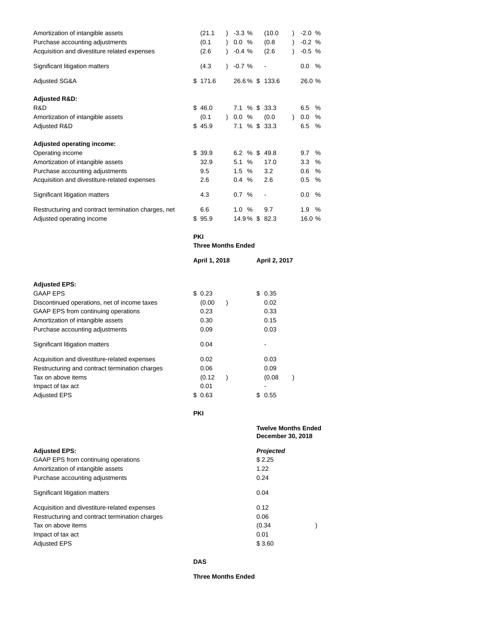| Amortization of intangible assets<br>Purchase accounting adjustments<br>Acquisition and divestiture related expenses                                                   | (21.1)<br>(0.1)<br>(2.6)                | $\mathcal{L}$ | $-3.3%$<br>$0.0 \%$<br>$-0.4%$  |             | (10.0)<br>(0.8)<br>(2.6)                | $\lambda$<br>$\lambda$<br>$\lambda$ | $-2.0%$<br>$-0.2%$<br>$-0.5$ % |                  |
|------------------------------------------------------------------------------------------------------------------------------------------------------------------------|-----------------------------------------|---------------|---------------------------------|-------------|-----------------------------------------|-------------------------------------|--------------------------------|------------------|
| Significant litigation matters                                                                                                                                         | (4.3)                                   | $\lambda$     | $-0.7%$                         |             |                                         |                                     | 0.0                            | $\%$             |
| <b>Adjusted SG&amp;A</b>                                                                                                                                               | \$171.6                                 |               |                                 |             | 26.6% \$133.6                           |                                     | 26.0 %                         |                  |
| Adjusted R&D:<br>R&D<br>Amortization of intangible assets<br>Adjusted R&D                                                                                              | \$46.0<br>(0.1)<br>\$45.9               | $\lambda$     | 0.0                             | %           | 7.1 % \$ 33.3<br>(0.0)<br>7.1 % \$ 33.3 | $\mathcal{L}$                       | 6.5%<br>$0.0\,$<br>6.5         | %<br>%           |
| Adjusted operating income:<br>Operating income<br>Amortization of intangible assets<br>Purchase accounting adjustments<br>Acquisition and divestiture-related expenses | \$39.9<br>32.9<br>9.5<br>2.6            |               | 6.2 $%$ \$<br>5.1<br>1.5<br>0.4 | %<br>%<br>% | 49.8<br>17.0<br>3.2<br>2.6              |                                     | 9.7<br>3.3<br>0.6<br>0.5       | %<br>%<br>%<br>% |
| Significant litigation matters                                                                                                                                         | 4.3                                     |               | 0.7                             | %           |                                         |                                     | 0.0                            | %                |
| Restructuring and contract termination charges, net<br>Adjusted operating income                                                                                       | 6.6<br>\$95.9                           |               | 1.0%                            |             | 9.7<br>14.9% \$82.3                     |                                     | 1.9 %<br>16.0 %                |                  |
|                                                                                                                                                                        | <b>PKI</b><br><b>Three Months Ended</b> |               |                                 |             |                                         |                                     |                                |                  |
|                                                                                                                                                                        | April 1, 2018                           |               |                                 |             | April 2, 2017                           |                                     |                                |                  |
| <b>Adjusted EPS:</b><br><b>GAAP EPS</b><br>Discontinued operations, net of income taxes<br>GAAP EPS from continuing operations                                         | \$0.23<br>(0.00)<br>0.23<br>0.30        | $\mathcal{E}$ |                                 |             | \$0.35<br>0.02<br>0.33<br>0.15          |                                     |                                |                  |
| Amortization of intangible assets<br>Purchase accounting adjustments                                                                                                   | 0.09                                    |               |                                 |             | 0.03                                    |                                     |                                |                  |
| Significant litigation matters                                                                                                                                         | 0.04                                    |               |                                 |             |                                         |                                     |                                |                  |

**PKI**

**Twelve Months Ended**

|                                                | December 30, 2018 |  |
|------------------------------------------------|-------------------|--|
| <b>Adjusted EPS:</b>                           | <b>Projected</b>  |  |
| GAAP EPS from continuing operations            | \$2.25            |  |
| Amortization of intangible assets              | 1.22              |  |
| Purchase accounting adjustments                | 0.24              |  |
| Significant litigation matters                 | 0.04              |  |
| Acquisition and divestiture-related expenses   | 0.12              |  |
| Restructuring and contract termination charges | 0.06              |  |
| Tax on above items                             | (0.34)            |  |
| Impact of tax act                              | 0.01              |  |
| <b>Adjusted EPS</b>                            | \$3.60            |  |

## **DAS**

## **Three Months Ended**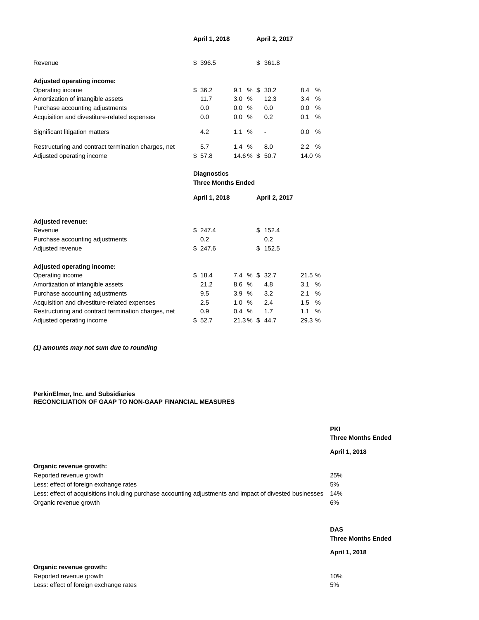|                                                     | April 1, 2018<br>April 2, 2017                      |  |
|-----------------------------------------------------|-----------------------------------------------------|--|
| Revenue                                             | \$396.5<br>\$361.8                                  |  |
| Adjusted operating income:                          |                                                     |  |
| Operating income                                    | \$36.2<br>$9.1\%$ \$ 30.2<br>$8.4\%$                |  |
| Amortization of intangible assets                   | 12.3<br>3.4%<br>11.7<br>3.0%                        |  |
| Purchase accounting adjustments                     | %<br>0.0<br>$0.0\%$<br>0.0<br>0.0                   |  |
| Acquisition and divestiture-related expenses        | 0.1 %<br>$0.0\%$<br>0.2<br>0.0                      |  |
| Significant litigation matters                      | $0.0\%$<br>4.2<br>1.1 %<br>$\overline{\phantom{a}}$ |  |
| Restructuring and contract termination charges, net | 2.2%<br>5.7<br>$1.4\%$<br>8.0                       |  |
| Adjusted operating income                           | \$57.8<br>14.6% \$ 50.7<br>14.0 %                   |  |

# **Diagnostics**

**Three Months Ended**

**April 1, 2018 April 2, 2017**

| <b>Adjusted revenue:</b>                            |         |                     |         |
|-----------------------------------------------------|---------|---------------------|---------|
| Revenue                                             | \$247.4 | 152.4<br>S.         |         |
| Purchase accounting adjustments                     | 0.2     | 0.2                 |         |
| Adjusted revenue                                    | \$247.6 | 152.5<br>\$         |         |
| Adjusted operating income:                          |         |                     |         |
| Operating income                                    | \$18.4  | 7.4 % \$ 32.7       | 21.5 %  |
| Amortization of intangible assets                   | 21.2    | 8.6%<br>4.8         | 3.1%    |
| Purchase accounting adjustments                     | 9.5     | 3.9%<br>3.2         | 2.1%    |
| Acquisition and divestiture-related expenses        | 2.5     | 1.0%<br>2.4         | $1.5\%$ |
| Restructuring and contract termination charges, net | 0.9     | $0.4\%$<br>1.7      | 1.1 %   |
| Adjusted operating income                           | \$52.7  | $21.3\%$ \$<br>44.7 | 29.3 %  |

**(1) amounts may not sum due to rounding**

## **PerkinElmer, Inc. and Subsidiaries RECONCILIATION OF GAAP TO NON-GAAP FINANCIAL MEASURES**

|                                                                                                          | <b>PKI</b><br><b>Three Months Ended</b> |
|----------------------------------------------------------------------------------------------------------|-----------------------------------------|
|                                                                                                          | April 1, 2018                           |
| Organic revenue growth:                                                                                  |                                         |
| Reported revenue growth                                                                                  | 25%                                     |
| Less: effect of foreign exchange rates                                                                   | 5%                                      |
| Less: effect of acquisitions including purchase accounting adjustments and impact of divested businesses | 14%                                     |
| Organic revenue growth                                                                                   | 6%                                      |

## **DAS Three Months Ended**

**April 1, 2018**

| Organic revenue growth:                |     |
|----------------------------------------|-----|
| Reported revenue growth                | 10% |
| Less: effect of foreign exchange rates | 5%  |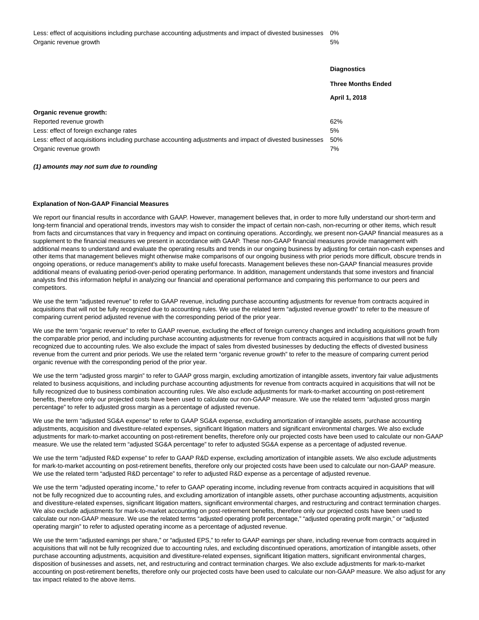Less: effect of acquisitions including purchase accounting adjustments and impact of divested businesses 0% Organic revenue growth 5%

|                                                                                                          | <b>Diagnostics</b>        |
|----------------------------------------------------------------------------------------------------------|---------------------------|
|                                                                                                          | <b>Three Months Ended</b> |
|                                                                                                          | April 1, 2018             |
| Organic revenue growth:                                                                                  |                           |
| Reported revenue growth                                                                                  | 62%                       |
| Less: effect of foreign exchange rates                                                                   | 5%                        |
| Less: effect of acquisitions including purchase accounting adjustments and impact of divested businesses | 50%                       |
| Organic revenue growth                                                                                   | 7%                        |

#### **(1) amounts may not sum due to rounding**

#### **Explanation of Non-GAAP Financial Measures**

We report our financial results in accordance with GAAP. However, management believes that, in order to more fully understand our short-term and long-term financial and operational trends, investors may wish to consider the impact of certain non-cash, non-recurring or other items, which result from facts and circumstances that vary in frequency and impact on continuing operations. Accordingly, we present non-GAAP financial measures as a supplement to the financial measures we present in accordance with GAAP. These non-GAAP financial measures provide management with additional means to understand and evaluate the operating results and trends in our ongoing business by adjusting for certain non-cash expenses and other items that management believes might otherwise make comparisons of our ongoing business with prior periods more difficult, obscure trends in ongoing operations, or reduce management's ability to make useful forecasts. Management believes these non-GAAP financial measures provide additional means of evaluating period-over-period operating performance. In addition, management understands that some investors and financial analysts find this information helpful in analyzing our financial and operational performance and comparing this performance to our peers and competitors.

We use the term "adjusted revenue" to refer to GAAP revenue, including purchase accounting adjustments for revenue from contracts acquired in acquisitions that will not be fully recognized due to accounting rules. We use the related term "adjusted revenue growth" to refer to the measure of comparing current period adjusted revenue with the corresponding period of the prior year.

We use the term "organic revenue" to refer to GAAP revenue, excluding the effect of foreign currency changes and including acquisitions growth from the comparable prior period, and including purchase accounting adjustments for revenue from contracts acquired in acquisitions that will not be fully recognized due to accounting rules. We also exclude the impact of sales from divested businesses by deducting the effects of divested business revenue from the current and prior periods. We use the related term "organic revenue growth" to refer to the measure of comparing current period organic revenue with the corresponding period of the prior year.

We use the term "adjusted gross margin" to refer to GAAP gross margin, excluding amortization of intangible assets, inventory fair value adjustments related to business acquisitions, and including purchase accounting adjustments for revenue from contracts acquired in acquisitions that will not be fully recognized due to business combination accounting rules. We also exclude adjustments for mark-to-market accounting on post-retirement benefits, therefore only our projected costs have been used to calculate our non-GAAP measure. We use the related term "adjusted gross margin percentage" to refer to adjusted gross margin as a percentage of adjusted revenue.

We use the term "adjusted SG&A expense" to refer to GAAP SG&A expense, excluding amortization of intangible assets, purchase accounting adjustments, acquisition and divestiture-related expenses, significant litigation matters and significant environmental charges. We also exclude adjustments for mark-to-market accounting on post-retirement benefits, therefore only our projected costs have been used to calculate our non-GAAP measure. We use the related term "adjusted SG&A percentage" to refer to adjusted SG&A expense as a percentage of adjusted revenue.

We use the term "adjusted R&D expense" to refer to GAAP R&D expense, excluding amortization of intangible assets. We also exclude adjustments for mark-to-market accounting on post-retirement benefits, therefore only our projected costs have been used to calculate our non-GAAP measure. We use the related term "adjusted R&D percentage" to refer to adjusted R&D expense as a percentage of adjusted revenue.

We use the term "adjusted operating income," to refer to GAAP operating income, including revenue from contracts acquired in acquisitions that will not be fully recognized due to accounting rules, and excluding amortization of intangible assets, other purchase accounting adjustments, acquisition and divestiture-related expenses, significant litigation matters, significant environmental charges, and restructuring and contract termination charges. We also exclude adjustments for mark-to-market accounting on post-retirement benefits, therefore only our projected costs have been used to calculate our non-GAAP measure. We use the related terms "adjusted operating profit percentage," "adjusted operating profit margin," or "adjusted operating margin" to refer to adjusted operating income as a percentage of adjusted revenue.

We use the term "adjusted earnings per share," or "adjusted EPS," to refer to GAAP earnings per share, including revenue from contracts acquired in acquisitions that will not be fully recognized due to accounting rules, and excluding discontinued operations, amortization of intangible assets, other purchase accounting adjustments, acquisition and divestiture-related expenses, significant litigation matters, significant environmental charges, disposition of businesses and assets, net, and restructuring and contract termination charges. We also exclude adjustments for mark-to-market accounting on post-retirement benefits, therefore only our projected costs have been used to calculate our non-GAAP measure. We also adjust for any tax impact related to the above items.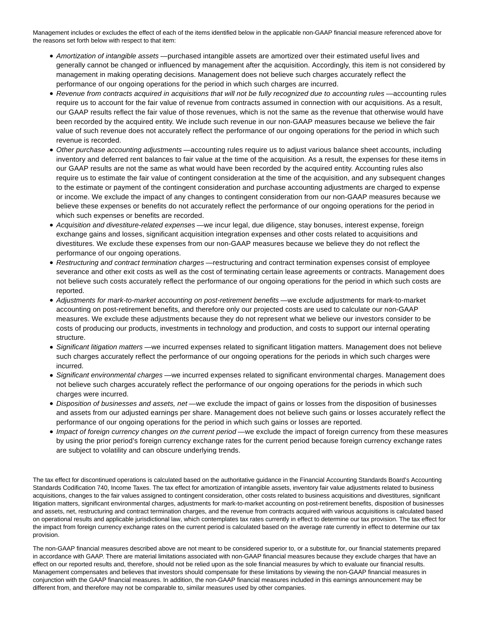Management includes or excludes the effect of each of the items identified below in the applicable non-GAAP financial measure referenced above for the reasons set forth below with respect to that item:

- Amortization of intangible assets —purchased intangible assets are amortized over their estimated useful lives and generally cannot be changed or influenced by management after the acquisition. Accordingly, this item is not considered by management in making operating decisions. Management does not believe such charges accurately reflect the performance of our ongoing operations for the period in which such charges are incurred.
- Revenue from contracts acquired in acquisitions that will not be fully recognized due to accounting rules —accounting rules require us to account for the fair value of revenue from contracts assumed in connection with our acquisitions. As a result, our GAAP results reflect the fair value of those revenues, which is not the same as the revenue that otherwise would have been recorded by the acquired entity. We include such revenue in our non-GAAP measures because we believe the fair value of such revenue does not accurately reflect the performance of our ongoing operations for the period in which such revenue is recorded.
- Other purchase accounting adjustments —accounting rules require us to adjust various balance sheet accounts, including inventory and deferred rent balances to fair value at the time of the acquisition. As a result, the expenses for these items in our GAAP results are not the same as what would have been recorded by the acquired entity. Accounting rules also require us to estimate the fair value of contingent consideration at the time of the acquisition, and any subsequent changes to the estimate or payment of the contingent consideration and purchase accounting adjustments are charged to expense or income. We exclude the impact of any changes to contingent consideration from our non-GAAP measures because we believe these expenses or benefits do not accurately reflect the performance of our ongoing operations for the period in which such expenses or benefits are recorded.
- Acquisition and divestiture-related expenses —we incur legal, due diligence, stay bonuses, interest expense, foreign exchange gains and losses, significant acquisition integration expenses and other costs related to acquisitions and divestitures. We exclude these expenses from our non-GAAP measures because we believe they do not reflect the performance of our ongoing operations.
- Restructuring and contract termination charges —restructuring and contract termination expenses consist of employee severance and other exit costs as well as the cost of terminating certain lease agreements or contracts. Management does not believe such costs accurately reflect the performance of our ongoing operations for the period in which such costs are reported.
- Adjustments for mark-to-market accounting on post-retirement benefits —we exclude adjustments for mark-to-market accounting on post-retirement benefits, and therefore only our projected costs are used to calculate our non-GAAP measures. We exclude these adjustments because they do not represent what we believe our investors consider to be costs of producing our products, investments in technology and production, and costs to support our internal operating structure.
- Significant litigation matters —we incurred expenses related to significant litigation matters. Management does not believe such charges accurately reflect the performance of our ongoing operations for the periods in which such charges were incurred.
- Significant environmental charges —we incurred expenses related to significant environmental charges. Management does not believe such charges accurately reflect the performance of our ongoing operations for the periods in which such charges were incurred.
- Disposition of businesses and assets, net—we exclude the impact of gains or losses from the disposition of businesses and assets from our adjusted earnings per share. Management does not believe such gains or losses accurately reflect the performance of our ongoing operations for the period in which such gains or losses are reported.
- Impact of foreign currency changes on the current period—we exclude the impact of foreign currency from these measures by using the prior period's foreign currency exchange rates for the current period because foreign currency exchange rates are subject to volatility and can obscure underlying trends.

The tax effect for discontinued operations is calculated based on the authoritative guidance in the Financial Accounting Standards Board's Accounting Standards Codification 740, Income Taxes. The tax effect for amortization of intangible assets, inventory fair value adjustments related to business acquisitions, changes to the fair values assigned to contingent consideration, other costs related to business acquisitions and divestitures, significant litigation matters, significant environmental charges, adjustments for mark-to-market accounting on post-retirement benefits, disposition of businesses and assets, net, restructuring and contract termination charges, and the revenue from contracts acquired with various acquisitions is calculated based on operational results and applicable jurisdictional law, which contemplates tax rates currently in effect to determine our tax provision. The tax effect for the impact from foreign currency exchange rates on the current period is calculated based on the average rate currently in effect to determine our tax provision.

The non-GAAP financial measures described above are not meant to be considered superior to, or a substitute for, our financial statements prepared in accordance with GAAP. There are material limitations associated with non-GAAP financial measures because they exclude charges that have an effect on our reported results and, therefore, should not be relied upon as the sole financial measures by which to evaluate our financial results. Management compensates and believes that investors should compensate for these limitations by viewing the non-GAAP financial measures in conjunction with the GAAP financial measures. In addition, the non-GAAP financial measures included in this earnings announcement may be different from, and therefore may not be comparable to, similar measures used by other companies.